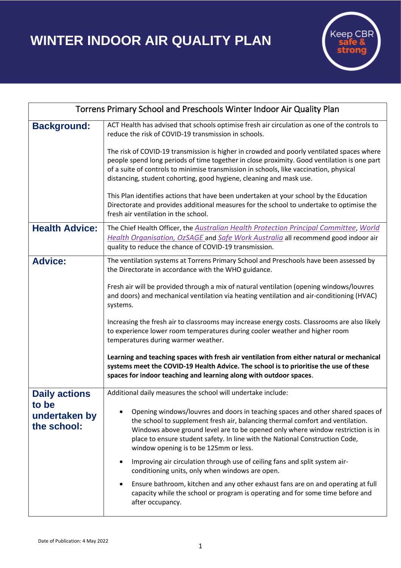**WINTER INDOOR AIR QUALITY PLAN**



| Torrens Primary School and Preschools Winter Indoor Air Quality Plan |                                                                                                                                                                                                                                                                                                                                                                                |
|----------------------------------------------------------------------|--------------------------------------------------------------------------------------------------------------------------------------------------------------------------------------------------------------------------------------------------------------------------------------------------------------------------------------------------------------------------------|
| <b>Background:</b>                                                   | ACT Health has advised that schools optimise fresh air circulation as one of the controls to<br>reduce the risk of COVID-19 transmission in schools.                                                                                                                                                                                                                           |
|                                                                      | The risk of COVID-19 transmission is higher in crowded and poorly ventilated spaces where<br>people spend long periods of time together in close proximity. Good ventilation is one part<br>of a suite of controls to minimise transmission in schools, like vaccination, physical<br>distancing, student cohorting, good hygiene, cleaning and mask use.                      |
|                                                                      | This Plan identifies actions that have been undertaken at your school by the Education<br>Directorate and provides additional measures for the school to undertake to optimise the<br>fresh air ventilation in the school.                                                                                                                                                     |
| <b>Health Advice:</b>                                                | The Chief Health Officer, the Australian Health Protection Principal Committee, World<br>Health Organisation, OzSAGE and Safe Work Australia all recommend good indoor air<br>quality to reduce the chance of COVID-19 transmission.                                                                                                                                           |
| <b>Advice:</b>                                                       | The ventilation systems at Torrens Primary School and Preschools have been assessed by<br>the Directorate in accordance with the WHO guidance.                                                                                                                                                                                                                                 |
|                                                                      | Fresh air will be provided through a mix of natural ventilation (opening windows/louvres<br>and doors) and mechanical ventilation via heating ventilation and air-conditioning (HVAC)<br>systems.                                                                                                                                                                              |
|                                                                      | Increasing the fresh air to classrooms may increase energy costs. Classrooms are also likely<br>to experience lower room temperatures during cooler weather and higher room<br>temperatures during warmer weather.                                                                                                                                                             |
|                                                                      | Learning and teaching spaces with fresh air ventilation from either natural or mechanical<br>systems meet the COVID-19 Health Advice. The school is to prioritise the use of these<br>spaces for indoor teaching and learning along with outdoor spaces.                                                                                                                       |
| <b>Daily actions</b>                                                 | Additional daily measures the school will undertake include:                                                                                                                                                                                                                                                                                                                   |
| to be<br>undertaken by<br>the school:                                | Opening windows/louvres and doors in teaching spaces and other shared spaces of<br>the school to supplement fresh air, balancing thermal comfort and ventilation.<br>Windows above ground level are to be opened only where window restriction is in<br>place to ensure student safety. In line with the National Construction Code,<br>window opening is to be 125mm or less. |
|                                                                      | Improving air circulation through use of ceiling fans and split system air-<br>conditioning units, only when windows are open.                                                                                                                                                                                                                                                 |
|                                                                      | Ensure bathroom, kitchen and any other exhaust fans are on and operating at full<br>capacity while the school or program is operating and for some time before and<br>after occupancy.                                                                                                                                                                                         |